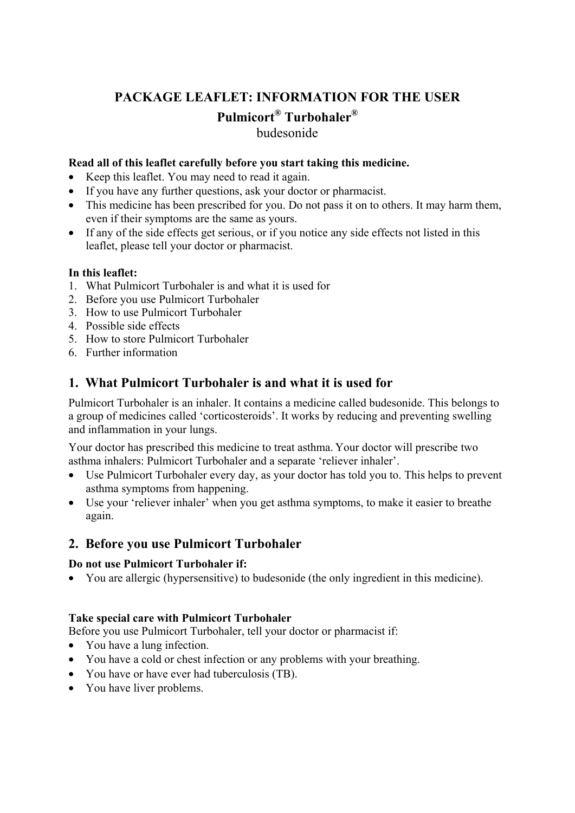# **PACKAGE LEAFLET: INFORMATION FOR THE USER Pulmicort® Turbohaler®**  budesonide

#### **Read all of this leaflet carefully before you start taking this medicine.**

- Keep this leaflet. You may need to read it again.
- If you have any further questions, ask your doctor or pharmacist.
- This medicine has been prescribed for you. Do not pass it on to others. It may harm them, even if their symptoms are the same as yours.
- If any of the side effects get serious, or if you notice any side effects not listed in this leaflet, please tell your doctor or pharmacist.

#### **In this leaflet:**

- 1. What Pulmicort Turbohaler is and what it is used for
- 2. Before you use Pulmicort Turbohaler
- 3. How to use Pulmicort Turbohaler
- 4. Possible side effects
- 5. How to store Pulmicort Turbohaler
- 6. Further information

# **1. What Pulmicort Turbohaler is and what it is used for**

Pulmicort Turbohaler is an inhaler. It contains a medicine called budesonide. This belongs to a group of medicines called 'corticosteroids'. It works by reducing and preventing swelling and inflammation in your lungs.

Your doctor has prescribed this medicine to treat asthma. Your doctor will prescribe two asthma inhalers: Pulmicort Turbohaler and a separate 'reliever inhaler'.

- Use Pulmicort Turbohaler every day, as your doctor has told you to. This helps to prevent asthma symptoms from happening.
- Use your 'reliever inhaler' when you get asthma symptoms, to make it easier to breathe again.

## **2. Before you use Pulmicort Turbohaler**

#### **Do not use Pulmicort Turbohaler if:**

• You are allergic (hypersensitive) to budesonide (the only ingredient in this medicine).

#### **Take special care with Pulmicort Turbohaler**

Before you use Pulmicort Turbohaler, tell your doctor or pharmacist if:

- You have a lung infection.
- You have a cold or chest infection or any problems with your breathing.
- You have or have ever had tuberculosis (TB).
- You have liver problems.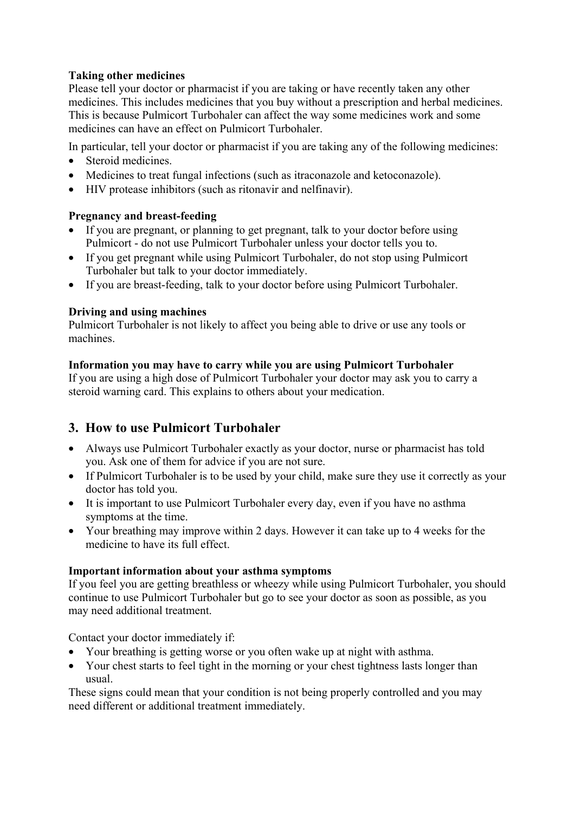## **Taking other medicines**

Please tell your doctor or pharmacist if you are taking or have recently taken any other medicines. This includes medicines that you buy without a prescription and herbal medicines. This is because Pulmicort Turbohaler can affect the way some medicines work and some medicines can have an effect on Pulmicort Turbohaler.

In particular, tell your doctor or pharmacist if you are taking any of the following medicines:

- Steroid medicines.
- Medicines to treat fungal infections (such as itraconazole and ketoconazole).
- HIV protease inhibitors (such as ritonavir and nelfinavir).

## **Pregnancy and breast-feeding**

- If you are pregnant, or planning to get pregnant, talk to your doctor before using Pulmicort - do not use Pulmicort Turbohaler unless your doctor tells you to.
- If you get pregnant while using Pulmicort Turbohaler, do not stop using Pulmicort Turbohaler but talk to your doctor immediately.
- If you are breast-feeding, talk to your doctor before using Pulmicort Turbohaler.

## **Driving and using machines**

Pulmicort Turbohaler is not likely to affect you being able to drive or use any tools or machines.

## **Information you may have to carry while you are using Pulmicort Turbohaler**

If you are using a high dose of Pulmicort Turbohaler your doctor may ask you to carry a steroid warning card. This explains to others about your medication.

# **3. How to use Pulmicort Turbohaler**

- Always use Pulmicort Turbohaler exactly as your doctor, nurse or pharmacist has told you. Ask one of them for advice if you are not sure.
- If Pulmicort Turbohaler is to be used by your child, make sure they use it correctly as your doctor has told you.
- It is important to use Pulmicort Turbohaler every day, even if you have no asthma symptoms at the time.
- Your breathing may improve within 2 days. However it can take up to 4 weeks for the medicine to have its full effect.

## **Important information about your asthma symptoms**

If you feel you are getting breathless or wheezy while using Pulmicort Turbohaler, you should continue to use Pulmicort Turbohaler but go to see your doctor as soon as possible, as you may need additional treatment.

Contact your doctor immediately if:

- Your breathing is getting worse or you often wake up at night with asthma.
- Your chest starts to feel tight in the morning or your chest tightness lasts longer than usual.

These signs could mean that your condition is not being properly controlled and you may need different or additional treatment immediately.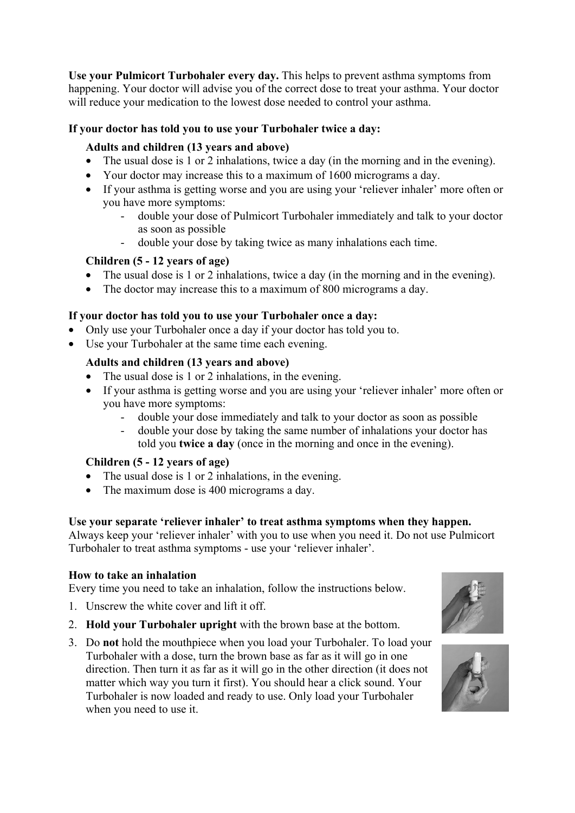**Use your Pulmicort Turbohaler every day.** This helps to prevent asthma symptoms from happening. Your doctor will advise you of the correct dose to treat your asthma. Your doctor will reduce your medication to the lowest dose needed to control your asthma.

## **If your doctor has told you to use your Turbohaler twice a day:**

## **Adults and children (13 years and above)**

- The usual dose is 1 or 2 inhalations, twice a day (in the morning and in the evening).
- Your doctor may increase this to a maximum of 1600 micrograms a day.
- If your asthma is getting worse and you are using your 'reliever inhaler' more often or you have more symptoms:
	- double your dose of Pulmicort Turbohaler immediately and talk to your doctor as soon as possible
	- double your dose by taking twice as many inhalations each time.

## **Children (5 - 12 years of age)**

- The usual dose is 1 or 2 inhalations, twice a day (in the morning and in the evening).
- The doctor may increase this to a maximum of 800 micrograms a day.

## **If your doctor has told you to use your Turbohaler once a day:**

- Only use your Turbohaler once a day if your doctor has told you to.
- Use your Turbohaler at the same time each evening.

## **Adults and children (13 years and above)**

- The usual dose is 1 or 2 inhalations, in the evening.
- If your asthma is getting worse and you are using your 'reliever inhaler' more often or you have more symptoms:
	- double your dose immediately and talk to your doctor as soon as possible
	- double your dose by taking the same number of inhalations your doctor has told you **twice a day** (once in the morning and once in the evening).

## **Children (5 - 12 years of age)**

- The usual dose is 1 or 2 inhalations, in the evening.
- The maximum dose is 400 micrograms a day.

#### **Use your separate 'reliever inhaler' to treat asthma symptoms when they happen.**

Always keep your 'reliever inhaler' with you to use when you need it. Do not use Pulmicort Turbohaler to treat asthma symptoms - use your 'reliever inhaler'.

## **How to take an inhalation**

Every time you need to take an inhalation, follow the instructions below.

- 1. Unscrew the white cover and lift it off.
- 2. **Hold your Turbohaler upright** with the brown base at the bottom.
- 3. Do **not** hold the mouthpiece when you load your Turbohaler. To load your Turbohaler with a dose, turn the brown base as far as it will go in one direction. Then turn it as far as it will go in the other direction (it does not matter which way you turn it first). You should hear a click sound. Your Turbohaler is now loaded and ready to use. Only load your Turbohaler when you need to use it.



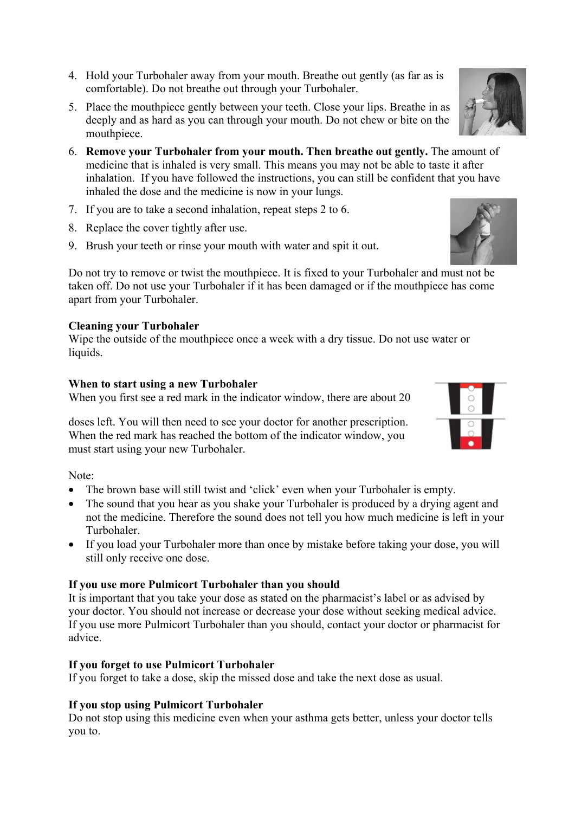- 4. Hold your Turbohaler away from your mouth. Breathe out gently (as far as is comfortable). Do not breathe out through your Turbohaler.
- 5. Place the mouthpiece gently between your teeth. Close your lips. Breathe in as deeply and as hard as you can through your mouth. Do not chew or bite on the mouthpiece.
- 6. **Remove your Turbohaler from your mouth. Then breathe out gently.** The amount of medicine that is inhaled is very small. This means you may not be able to taste it after inhalation. If you have followed the instructions, you can still be confident that you have inhaled the dose and the medicine is now in your lungs.
- 7. If you are to take a second inhalation, repeat steps 2 to 6.
- 8. Replace the cover tightly after use.
- 9. Brush your teeth or rinse your mouth with water and spit it out.

Do not try to remove or twist the mouthpiece. It is fixed to your Turbohaler and must not be taken off. Do not use your Turbohaler if it has been damaged or if the mouthpiece has come apart from your Turbohaler.

# **Cleaning your Turbohaler**

Wipe the outside of the mouthpiece once a week with a dry tissue. Do not use water or liquids.

## **When to start using a new Turbohaler**

When you first see a red mark in the indicator window, there are about 20

doses left. You will then need to see your doctor for another prescription. When the red mark has reached the bottom of the indicator window, you must start using your new Turbohaler.

Note:

- The brown base will still twist and 'click' even when your Turbohaler is empty.
- The sound that you hear as you shake your Turbohaler is produced by a drying agent and not the medicine. Therefore the sound does not tell you how much medicine is left in your Turbohaler.
- If you load your Turbohaler more than once by mistake before taking your dose, you will still only receive one dose.

## **If you use more Pulmicort Turbohaler than you should**

It is important that you take your dose as stated on the pharmacist's label or as advised by your doctor. You should not increase or decrease your dose without seeking medical advice. If you use more Pulmicort Turbohaler than you should, contact your doctor or pharmacist for advice.

## **If you forget to use Pulmicort Turbohaler**

If you forget to take a dose, skip the missed dose and take the next dose as usual.

## **If you stop using Pulmicort Turbohaler**

Do not stop using this medicine even when your asthma gets better, unless your doctor tells you to.



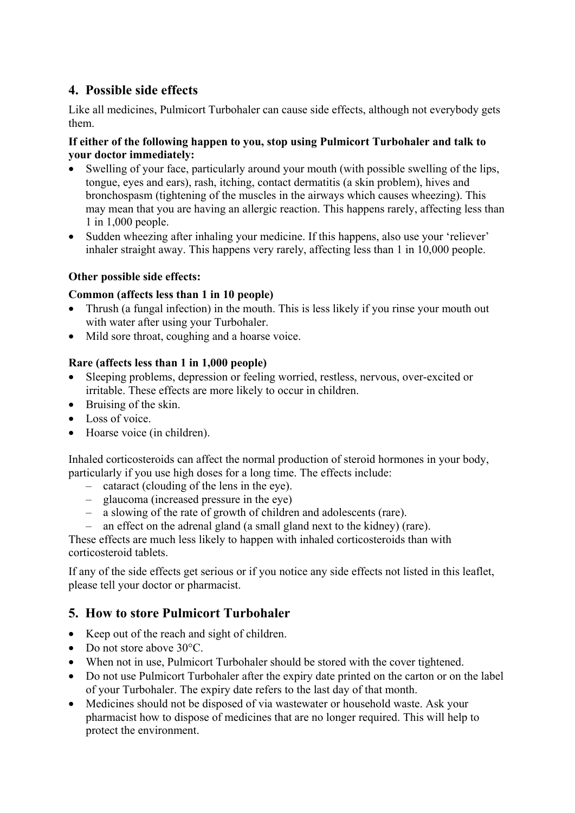# **4. Possible side effects**

Like all medicines, Pulmicort Turbohaler can cause side effects, although not everybody gets them.

## **If either of the following happen to you, stop using Pulmicort Turbohaler and talk to your doctor immediately:**

- Swelling of your face, particularly around your mouth (with possible swelling of the lips, tongue, eyes and ears), rash, itching, contact dermatitis (a skin problem), hives and bronchospasm (tightening of the muscles in the airways which causes wheezing). This may mean that you are having an allergic reaction. This happens rarely, affecting less than 1 in 1,000 people.
- Sudden wheezing after inhaling your medicine. If this happens, also use your 'reliever' inhaler straight away. This happens very rarely, affecting less than 1 in 10,000 people.

## **Other possible side effects:**

## **Common (affects less than 1 in 10 people)**

- Thrush (a fungal infection) in the mouth. This is less likely if you rinse your mouth out with water after using your Turbohaler.
- Mild sore throat, coughing and a hoarse voice.

## **Rare (affects less than 1 in 1,000 people)**

- Sleeping problems, depression or feeling worried, restless, nervous, over-excited or irritable. These effects are more likely to occur in children.
- Bruising of the skin.
- Loss of voice
- Hoarse voice (in children).

Inhaled corticosteroids can affect the normal production of steroid hormones in your body, particularly if you use high doses for a long time. The effects include:

- cataract (clouding of the lens in the eye).
- glaucoma (increased pressure in the eye)
- a slowing of the rate of growth of children and adolescents (rare).
- an effect on the adrenal gland (a small gland next to the kidney) (rare).

These effects are much less likely to happen with inhaled corticosteroids than with corticosteroid tablets.

If any of the side effects get serious or if you notice any side effects not listed in this leaflet, please tell your doctor or pharmacist.

# **5. How to store Pulmicort Turbohaler**

- Keep out of the reach and sight of children.
- Do not store above 30 °C.
- When not in use, Pulmicort Turbohaler should be stored with the cover tightened.
- Do not use Pulmicort Turbohaler after the expiry date printed on the carton or on the label of your Turbohaler. The expiry date refers to the last day of that month.
- Medicines should not be disposed of via wastewater or household waste. Ask your pharmacist how to dispose of medicines that are no longer required. This will help to protect the environment.